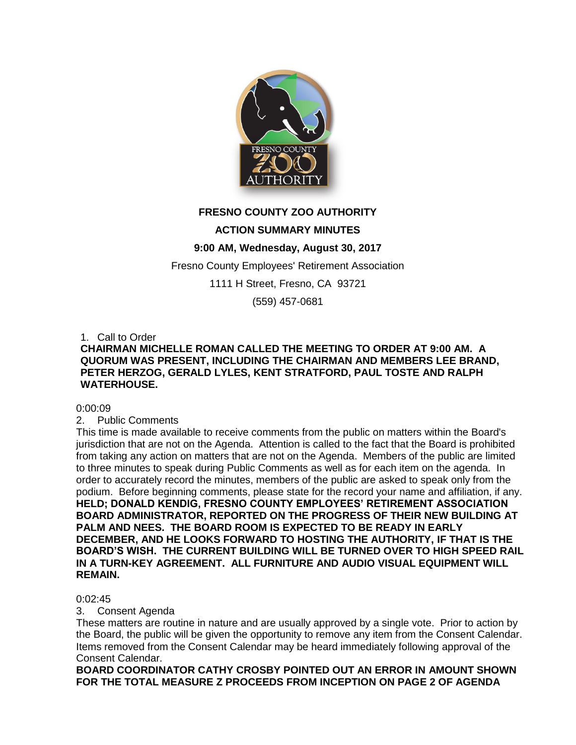

# **FRESNO COUNTY ZOO AUTHORITY**

## **ACTION SUMMARY MINUTES**

## **9:00 AM, Wednesday, August 30, 2017**

Fresno County Employees' Retirement Association

1111 H Street, Fresno, CA 93721

(559) 457-0681

1. Call to Order

## **CHAIRMAN MICHELLE ROMAN CALLED THE MEETING TO ORDER AT 9:00 AM. A QUORUM WAS PRESENT, INCLUDING THE CHAIRMAN AND MEMBERS LEE BRAND, PETER HERZOG, GERALD LYLES, KENT STRATFORD, PAUL TOSTE AND RALPH WATERHOUSE.**

### 0:00:09

2. Public Comments

This time is made available to receive comments from the public on matters within the Board's jurisdiction that are not on the Agenda. Attention is called to the fact that the Board is prohibited from taking any action on matters that are not on the Agenda. Members of the public are limited to three minutes to speak during Public Comments as well as for each item on the agenda. In order to accurately record the minutes, members of the public are asked to speak only from the podium. Before beginning comments, please state for the record your name and affiliation, if any. **HELD; DONALD KENDIG, FRESNO COUNTY EMPLOYEES' RETIREMENT ASSOCIATION BOARD ADMINISTRATOR, REPORTED ON THE PROGRESS OF THEIR NEW BUILDING AT PALM AND NEES. THE BOARD ROOM IS EXPECTED TO BE READY IN EARLY DECEMBER, AND HE LOOKS FORWARD TO HOSTING THE AUTHORITY, IF THAT IS THE BOARD'S WISH. THE CURRENT BUILDING WILL BE TURNED OVER TO HIGH SPEED RAIL IN A TURN-KEY AGREEMENT. ALL FURNITURE AND AUDIO VISUAL EQUIPMENT WILL REMAIN.** 

### 0:02:45

### 3. Consent Agenda

These matters are routine in nature and are usually approved by a single vote. Prior to action by the Board, the public will be given the opportunity to remove any item from the Consent Calendar. Items removed from the Consent Calendar may be heard immediately following approval of the Consent Calendar.

**BOARD COORDINATOR CATHY CROSBY POINTED OUT AN ERROR IN AMOUNT SHOWN FOR THE TOTAL MEASURE Z PROCEEDS FROM INCEPTION ON PAGE 2 OF AGENDA**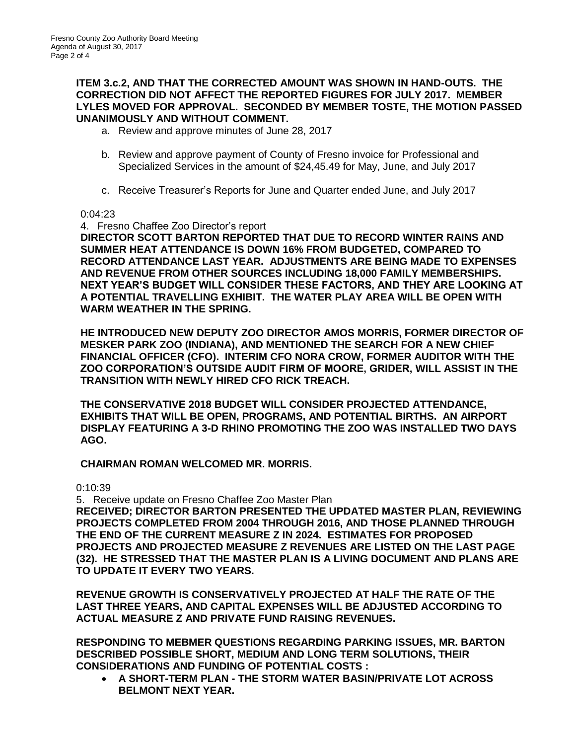## **ITEM 3.c.2, AND THAT THE CORRECTED AMOUNT WAS SHOWN IN HAND-OUTS. THE CORRECTION DID NOT AFFECT THE REPORTED FIGURES FOR JULY 2017. MEMBER LYLES MOVED FOR APPROVAL. SECONDED BY MEMBER TOSTE, THE MOTION PASSED UNANIMOUSLY AND WITHOUT COMMENT.**

- a. Review and approve minutes of June 28, 2017
- b. Review and approve payment of County of Fresno invoice for Professional and Specialized Services in the amount of \$24,45.49 for May, June, and July 2017
- c. Receive Treasurer's Reports for June and Quarter ended June, and July 2017

## 0:04:23

4. Fresno Chaffee Zoo Director's report **DIRECTOR SCOTT BARTON REPORTED THAT DUE TO RECORD WINTER RAINS AND SUMMER HEAT ATTENDANCE IS DOWN 16% FROM BUDGETED, COMPARED TO RECORD ATTENDANCE LAST YEAR. ADJUSTMENTS ARE BEING MADE TO EXPENSES AND REVENUE FROM OTHER SOURCES INCLUDING 18,000 FAMILY MEMBERSHIPS. NEXT YEAR'S BUDGET WILL CONSIDER THESE FACTORS, AND THEY ARE LOOKING AT A POTENTIAL TRAVELLING EXHIBIT. THE WATER PLAY AREA WILL BE OPEN WITH WARM WEATHER IN THE SPRING.**

**HE INTRODUCED NEW DEPUTY ZOO DIRECTOR AMOS MORRIS, FORMER DIRECTOR OF MESKER PARK ZOO (INDIANA), AND MENTIONED THE SEARCH FOR A NEW CHIEF FINANCIAL OFFICER (CFO). INTERIM CFO NORA CROW, FORMER AUDITOR WITH THE ZOO CORPORATION'S OUTSIDE AUDIT FIRM OF MOORE, GRIDER, WILL ASSIST IN THE TRANSITION WITH NEWLY HIRED CFO RICK TREACH.** 

**THE CONSERVATIVE 2018 BUDGET WILL CONSIDER PROJECTED ATTENDANCE, EXHIBITS THAT WILL BE OPEN, PROGRAMS, AND POTENTIAL BIRTHS. AN AIRPORT DISPLAY FEATURING A 3-D RHINO PROMOTING THE ZOO WAS INSTALLED TWO DAYS AGO.**

**CHAIRMAN ROMAN WELCOMED MR. MORRIS.**

0:10:39

5. Receive update on Fresno Chaffee Zoo Master Plan

**RECEIVED; DIRECTOR BARTON PRESENTED THE UPDATED MASTER PLAN, REVIEWING PROJECTS COMPLETED FROM 2004 THROUGH 2016, AND THOSE PLANNED THROUGH THE END OF THE CURRENT MEASURE Z IN 2024. ESTIMATES FOR PROPOSED PROJECTS AND PROJECTED MEASURE Z REVENUES ARE LISTED ON THE LAST PAGE (32). HE STRESSED THAT THE MASTER PLAN IS A LIVING DOCUMENT AND PLANS ARE TO UPDATE IT EVERY TWO YEARS.** 

**REVENUE GROWTH IS CONSERVATIVELY PROJECTED AT HALF THE RATE OF THE LAST THREE YEARS, AND CAPITAL EXPENSES WILL BE ADJUSTED ACCORDING TO ACTUAL MEASURE Z AND PRIVATE FUND RAISING REVENUES.** 

**RESPONDING TO MEBMER QUESTIONS REGARDING PARKING ISSUES, MR. BARTON DESCRIBED POSSIBLE SHORT, MEDIUM AND LONG TERM SOLUTIONS, THEIR CONSIDERATIONS AND FUNDING OF POTENTIAL COSTS :**

 **A SHORT-TERM PLAN - THE STORM WATER BASIN/PRIVATE LOT ACROSS BELMONT NEXT YEAR.**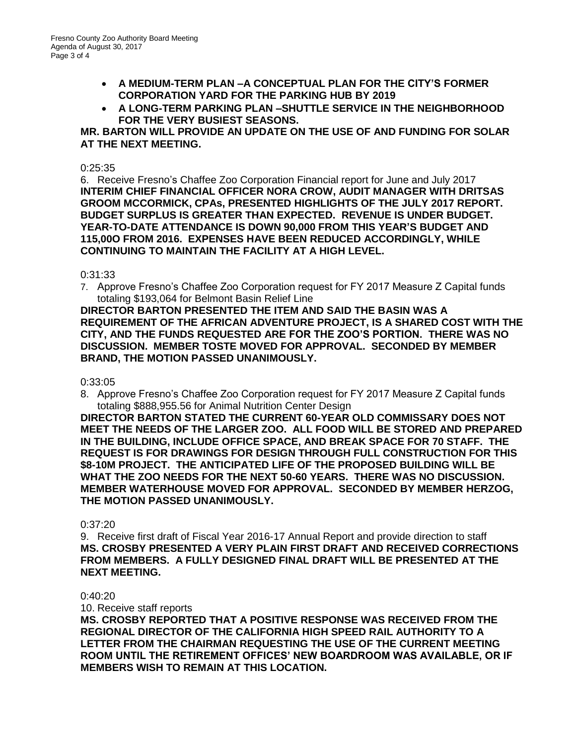- **A MEDIUM-TERM PLAN –A CONCEPTUAL PLAN FOR THE CITY'S FORMER CORPORATION YARD FOR THE PARKING HUB BY 2019**
- **A LONG-TERM PARKING PLAN –SHUTTLE SERVICE IN THE NEIGHBORHOOD FOR THE VERY BUSIEST SEASONS.**

## **MR. BARTON WILL PROVIDE AN UPDATE ON THE USE OF AND FUNDING FOR SOLAR AT THE NEXT MEETING.**

## 0:25:35

6. Receive Fresno's Chaffee Zoo Corporation Financial report for June and July 2017 **INTERIM CHIEF FINANCIAL OFFICER NORA CROW, AUDIT MANAGER WITH DRITSAS GROOM MCCORMICK, CPAs, PRESENTED HIGHLIGHTS OF THE JULY 2017 REPORT. BUDGET SURPLUS IS GREATER THAN EXPECTED. REVENUE IS UNDER BUDGET. YEAR-TO-DATE ATTENDANCE IS DOWN 90,000 FROM THIS YEAR'S BUDGET AND 115,00O FROM 2016. EXPENSES HAVE BEEN REDUCED ACCORDINGLY, WHILE CONTINUING TO MAINTAIN THE FACILITY AT A HIGH LEVEL.** 

### 0:31:33

7. Approve Fresno's Chaffee Zoo Corporation request for FY 2017 Measure Z Capital funds totaling \$193,064 for Belmont Basin Relief Line

**DIRECTOR BARTON PRESENTED THE ITEM AND SAID THE BASIN WAS A REQUIREMENT OF THE AFRICAN ADVENTURE PROJECT, IS A SHARED COST WITH THE CITY, AND THE FUNDS REQUESTED ARE FOR THE ZOO'S PORTION. THERE WAS NO DISCUSSION. MEMBER TOSTE MOVED FOR APPROVAL. SECONDED BY MEMBER BRAND, THE MOTION PASSED UNANIMOUSLY.**

### 0:33:05

8. Approve Fresno's Chaffee Zoo Corporation request for FY 2017 Measure Z Capital funds totaling \$888,955.56 for Animal Nutrition Center Design

**DIRECTOR BARTON STATED THE CURRENT 60-YEAR OLD COMMISSARY DOES NOT MEET THE NEEDS OF THE LARGER ZOO. ALL FOOD WILL BE STORED AND PREPARED IN THE BUILDING, INCLUDE OFFICE SPACE, AND BREAK SPACE FOR 70 STAFF. THE REQUEST IS FOR DRAWINGS FOR DESIGN THROUGH FULL CONSTRUCTION FOR THIS \$8-10M PROJECT. THE ANTICIPATED LIFE OF THE PROPOSED BUILDING WILL BE WHAT THE ZOO NEEDS FOR THE NEXT 50-60 YEARS. THERE WAS NO DISCUSSION. MEMBER WATERHOUSE MOVED FOR APPROVAL. SECONDED BY MEMBER HERZOG, THE MOTION PASSED UNANIMOUSLY.**

### 0:37:20

9. Receive first draft of Fiscal Year 2016-17 Annual Report and provide direction to staff **MS. CROSBY PRESENTED A VERY PLAIN FIRST DRAFT AND RECEIVED CORRECTIONS FROM MEMBERS. A FULLY DESIGNED FINAL DRAFT WILL BE PRESENTED AT THE NEXT MEETING.**

### 0:40:20

10. Receive staff reports

**MS. CROSBY REPORTED THAT A POSITIVE RESPONSE WAS RECEIVED FROM THE REGIONAL DIRECTOR OF THE CALIFORNIA HIGH SPEED RAIL AUTHORITY TO A LETTER FROM THE CHAIRMAN REQUESTING THE USE OF THE CURRENT MEETING ROOM UNTIL THE RETIREMENT OFFICES' NEW BOARDROOM WAS AVAILABLE, OR IF MEMBERS WISH TO REMAIN AT THIS LOCATION.**